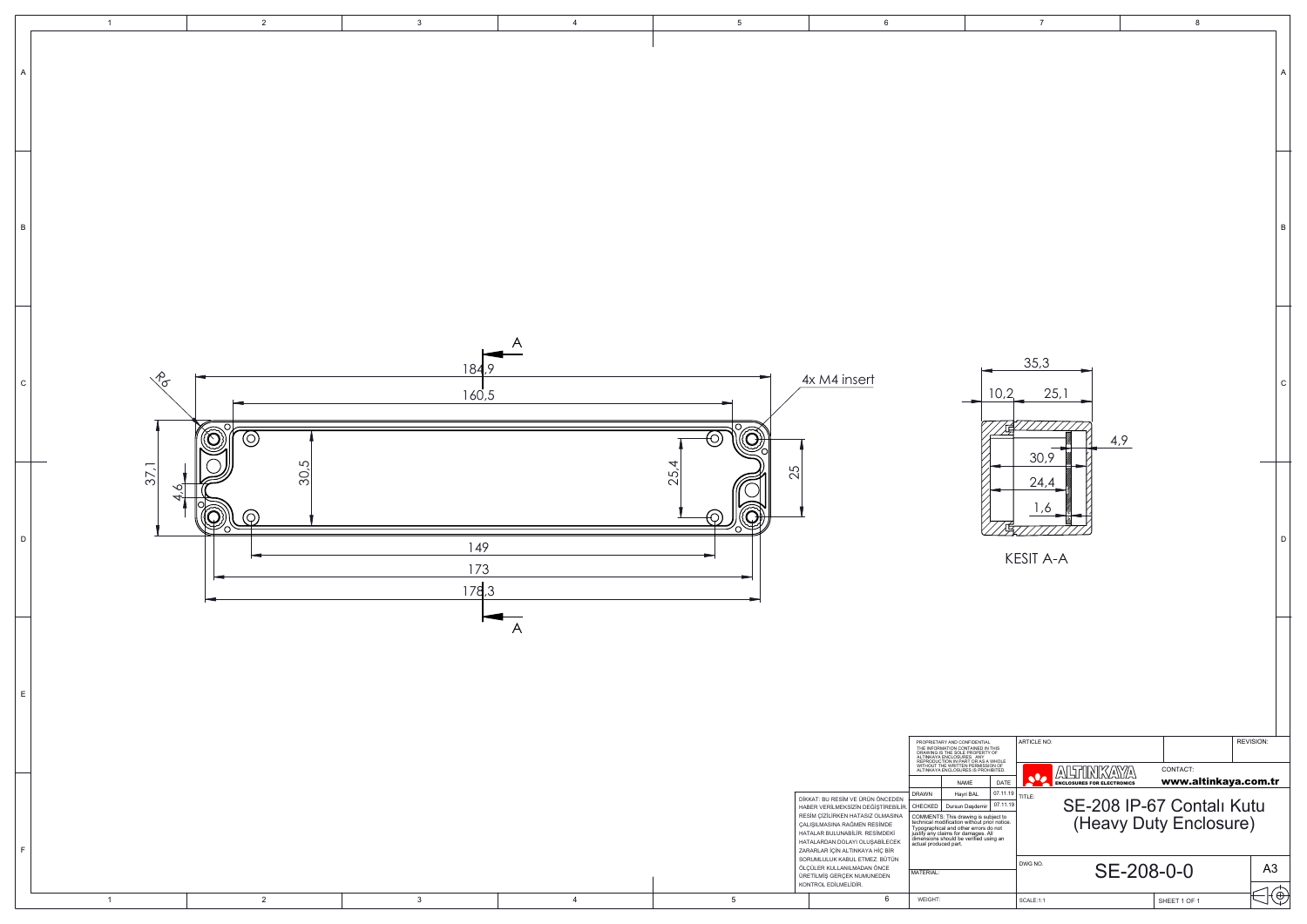

|                                                        | $\overline{7}$                                                 |            | 8                                |                |              |
|--------------------------------------------------------|----------------------------------------------------------------|------------|----------------------------------|----------------|--------------|
|                                                        |                                                                |            |                                  |                |              |
|                                                        |                                                                |            |                                  |                | A            |
|                                                        |                                                                |            |                                  |                |              |
|                                                        |                                                                |            |                                  |                |              |
|                                                        |                                                                |            |                                  |                |              |
|                                                        |                                                                |            |                                  |                |              |
|                                                        |                                                                |            |                                  |                | B            |
|                                                        |                                                                |            |                                  |                |              |
|                                                        |                                                                |            |                                  |                |              |
|                                                        |                                                                |            |                                  |                |              |
|                                                        | 35,3                                                           |            |                                  |                |              |
| 10,2                                                   | 25,1                                                           |            |                                  |                | $\mathsf{C}$ |
|                                                        |                                                                |            |                                  |                |              |
|                                                        | 30,9                                                           | 4,9        |                                  |                |              |
|                                                        | 24,4                                                           |            |                                  |                |              |
|                                                        | 1,6                                                            |            |                                  |                |              |
| 項                                                      |                                                                |            |                                  |                | D            |
|                                                        | <b>KESIT A-A</b>                                               |            |                                  |                |              |
|                                                        |                                                                |            |                                  |                |              |
|                                                        |                                                                |            |                                  |                |              |
|                                                        |                                                                |            |                                  |                |              |
|                                                        |                                                                |            |                                  |                |              |
|                                                        |                                                                |            |                                  |                |              |
| IAL<br>IN THIS<br><b>RTY OF</b>                        | <b>ARTICLE NO:</b>                                             |            |                                  | REVISION:      |              |
| S A WHOLE<br>SSION OF<br>OHIBITED.<br>DATE<br>07.11.19 | $\mathbb{A}$<br>$\bullet$<br><b>ENCLOSURES FOR ELECTRONICS</b> |            | CONTACT:<br>www.altinkaya.com.tr |                |              |
| 07.11.19<br>۱İ٢<br>subject to<br>prior notice.         | TITLE:<br>SE-208 IP-67 Contalı Kutu                            |            |                                  |                |              |
| s do not<br>. All<br>using an                          |                                                                |            | (Heavy Duty Enclosure)           |                |              |
|                                                        | DWG NO.                                                        | SE-208-0-0 |                                  | A <sub>3</sub> |              |
|                                                        | SCALE:1:1                                                      |            | SHEET 1 OF 1                     |                | E            |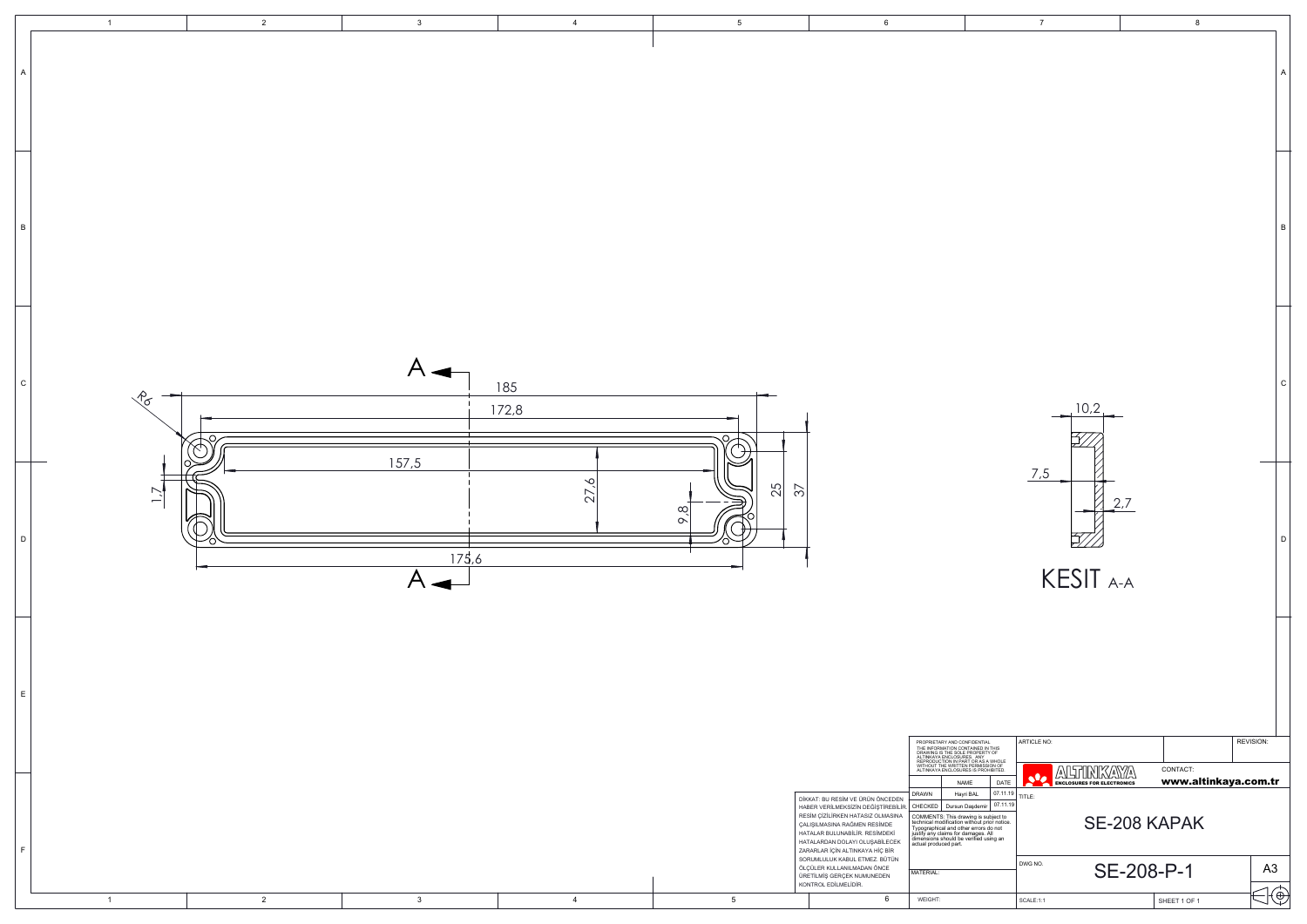|                                                | $\overline{7}$                              |     | 8                                |                | А           |
|------------------------------------------------|---------------------------------------------|-----|----------------------------------|----------------|-------------|
|                                                |                                             |     |                                  |                | B           |
|                                                | 10,2                                        |     |                                  |                | $\mathbf C$ |
|                                                | 7,5<br>KESIT A-A                            | 2,7 |                                  |                | D           |
|                                                |                                             |     |                                  |                |             |
| THIS<br>OF                                     | ARTICLE NO:                                 |     |                                  | REVISION:      |             |
| <i>N</i> HOLE<br>)N OF<br>IBITED.              | AUGUUNKAYYA<br><b>sle</b>                   |     | CONTACT:<br>www.altinkaya.com.tr |                |             |
| DATE<br>07.11.19<br>07.11.19                   | <b>ENCLOSURES FOR ELECTRONICS</b><br>TITLE: |     |                                  |                |             |
| oject to<br>or notice.<br>o not<br>II<br>ng an |                                             |     | SE-208 KAPAK                     |                |             |
|                                                | DWG NO.                                     |     | SE-208-P-1                       | A <sub>3</sub> |             |
|                                                | SCALE:1:1                                   |     | SHEET 1 OF 1                     |                | $\Theta$    |

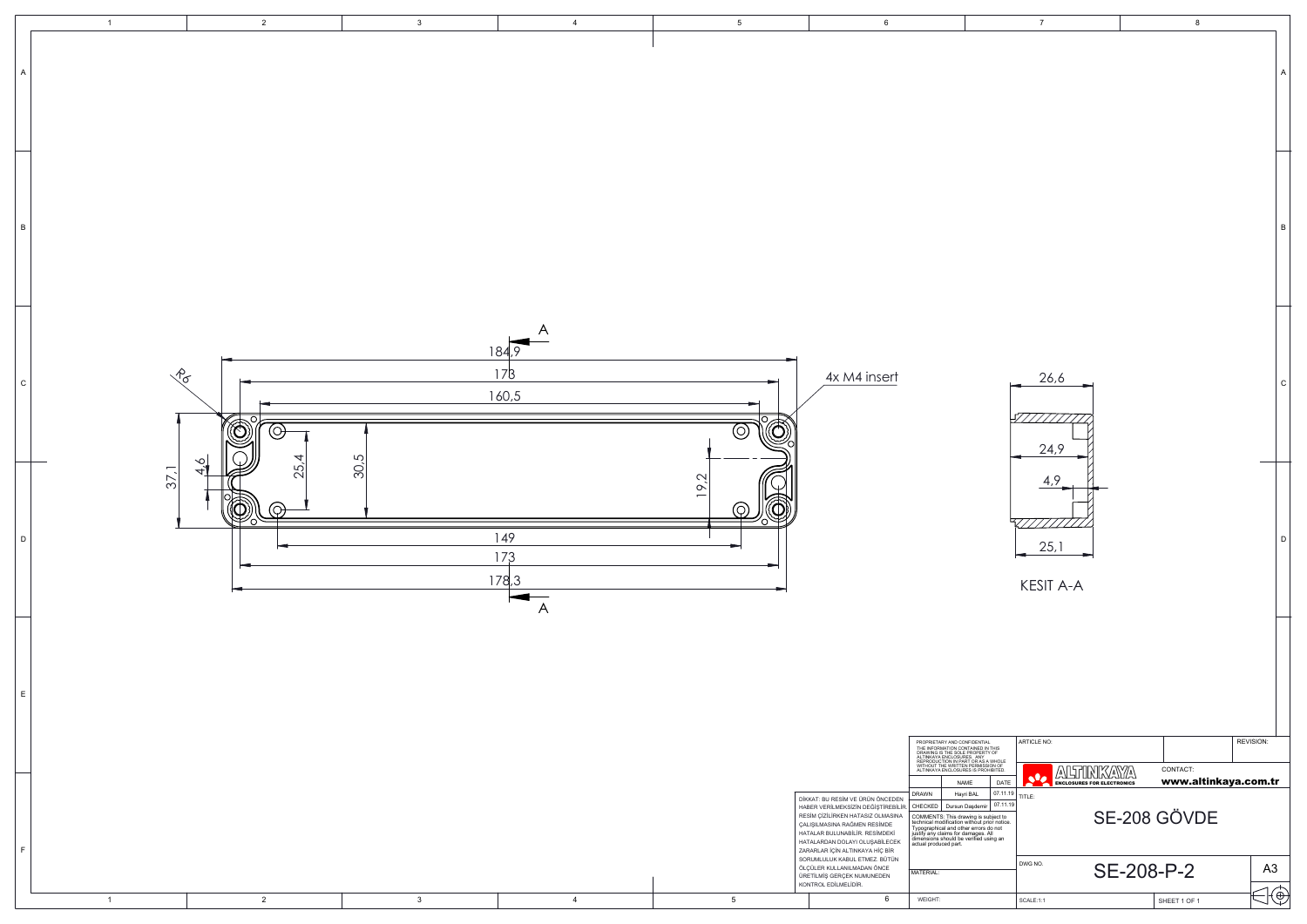|                                                                             | $\overline{7}$                                                         |            | 8                                |                |             |
|-----------------------------------------------------------------------------|------------------------------------------------------------------------|------------|----------------------------------|----------------|-------------|
|                                                                             |                                                                        |            |                                  |                | A           |
|                                                                             |                                                                        |            |                                  |                |             |
|                                                                             |                                                                        |            |                                  |                |             |
|                                                                             |                                                                        |            |                                  |                | B           |
|                                                                             |                                                                        |            |                                  |                |             |
|                                                                             |                                                                        |            |                                  |                |             |
|                                                                             |                                                                        |            |                                  |                |             |
|                                                                             | 26,6                                                                   |            |                                  |                | $\mathsf C$ |
|                                                                             | 24,9                                                                   |            |                                  |                |             |
|                                                                             | 4,9                                                                    |            |                                  |                |             |
|                                                                             | 25,1                                                                   |            |                                  |                | D           |
|                                                                             | <b>KESIT A-A</b>                                                       |            |                                  |                |             |
|                                                                             |                                                                        |            |                                  |                |             |
|                                                                             |                                                                        |            |                                  |                |             |
|                                                                             |                                                                        |            |                                  |                |             |
| L.<br>I THIS<br>Y OF                                                        | <b>ARTICLE NO:</b>                                                     |            |                                  | REVISION:      |             |
| N WHOLE<br>ION OF<br>HIBITED.<br>DATE                                       | $\mathcal{L}$<br>/∆\<br>$\bullet$<br><b>ENCLOSURES FOR ELECTRONICS</b> | ۵١         | CONTACT:<br>www.altinkaya.com.tr |                |             |
| 07.11.19<br>07.11.19<br>ıbject to<br>ior notice.<br>do not<br>۹I<br>sing an | TITLE:                                                                 |            | SE-208 GÖVDE                     |                |             |
|                                                                             | DWG NO.                                                                | SE-208-P-2 |                                  | A <sub>3</sub> |             |
|                                                                             | SCALE:1:1                                                              |            | SHEET 1 OF 1                     |                | €           |